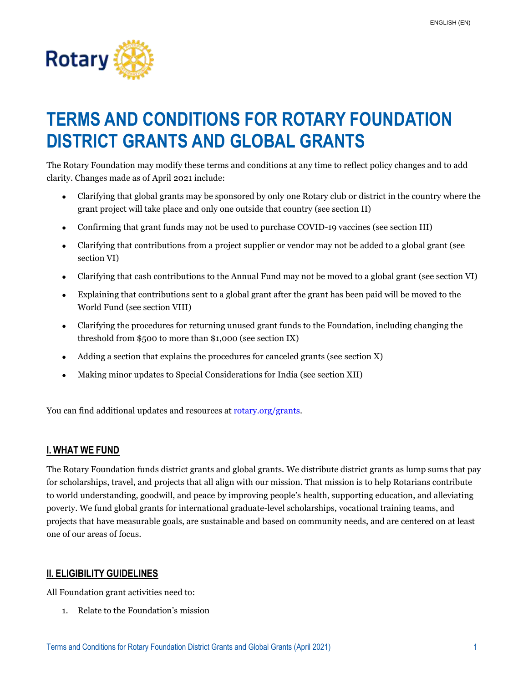

# **TERMS AND CONDITIONS FOR ROTARY FOUNDATION DISTRICT GRANTS AND GLOBAL GRANTS**

The Rotary Foundation may modify these terms and conditions at any time to reflect policy changes and to add clarity. Changes made as of April 2021 include:

- Clarifying that global grants may be sponsored by only one Rotary club or district in the country where the grant project will take place and only one outside that country (see section II)
- Confirming that grant funds may not be used to purchase COVID-19 vaccines (see section III)
- Clarifying that contributions from a project supplier or vendor may not be added to a global grant (see section VI)
- Clarifying that cash contributions to the Annual Fund may not be moved to a global grant (see section VI)
- Explaining that contributions sent to a global grant after the grant has been paid will be moved to the World Fund (see section VIII)
- Clarifying the procedures for returning unused grant funds to the Foundation, including changing the threshold from \$500 to more than \$1,000 (see section IX)
- Adding a section that explains the procedures for canceled grants (see section X)
- Making minor updates to Special Considerations for India (see section XII)

You can find additional updates and resources at [rotary.org/grants.](http://www.rotary.org/grants)

## **I. WHAT WE FUND**

The Rotary Foundation funds district grants and global grants. We distribute district grants as lump sums that pay for scholarships, travel, and projects that all align with our mission. That mission is to help Rotarians contribute to world understanding, goodwill, and peace by improving people's health, supporting education, and alleviating poverty. We fund global grants for international graduate-level scholarships, vocational training teams, and projects that have measurable goals, are sustainable and based on community needs, and are centered on at least one of our areas of focus.

## **II. ELIGIBILITY GUIDELINES**

All Foundation grant activities need to:

1. Relate to the Foundation's mission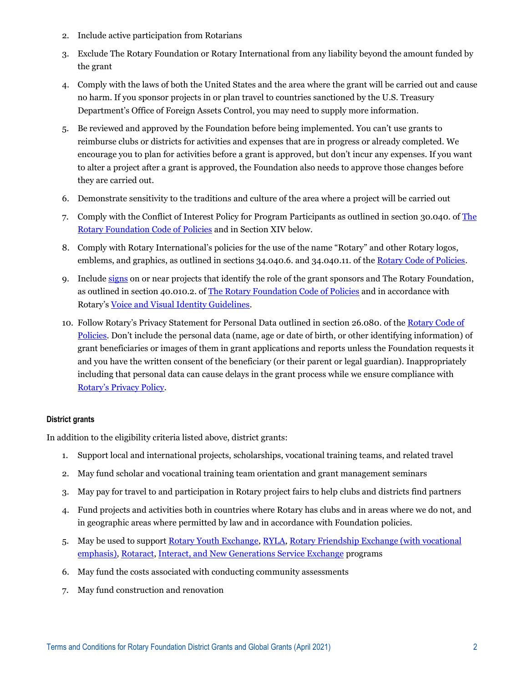- 2. Include active participation from Rotarians
- 3. Exclude The Rotary Foundation or Rotary International from any liability beyond the amount funded by the grant
- 4. Comply with the laws of both the United States and the area where the grant will be carried out and cause no harm. If you sponsor projects in or plan travel to countries sanctioned by the U.S. Treasury Department's Office of Foreign Assets Control, you may need to supply more information.
- 5. Be reviewed and approved by the Foundation before being implemented. You can't use grants to reimburse clubs or districts for activities and expenses that are in progress or already completed. We encourage you to plan for activities before a grant is approved, but don't incur any expenses. If you want to alter a project after a grant is approved, the Foundation also needs to approve those changes before they are carried out.
- 6. Demonstrate sensitivity to the traditions and culture of the area where a project will be carried out
- 7. Comply with the Conflict of Interest Policy for Program Participants as outlined in section 30.040. of [The](https://my.rotary.org/en/document/rotary-foundation-code-policies)  [Rotary Foundation](https://my.rotary.org/en/document/rotary-foundation-code-policies) Code of Policies and in Section XIV below.
- 8. Comply with Rotary International's policies for the use of the name "Rotary" and other Rotary logos, emblems, and graphics, as outlined in sections 34.040.6. and 34.040.11. of th[e Rotary Code of Policies.](https://www.rotary.org/myrotary/en/document/rotary-code-policies)
- 9. Include [signs](https://my.rotary.org/en/document/guidelines-rotary-foundation-funded-project-signage) on or near projects that identify the role of the grant sponsors and The Rotary Foundation, as outlined in section 40.010.2. o[f The Rotary Foundation Code of Policies](https://my.rotary.org/en/document/rotary-foundation-code-policies) and in accordance with Rotary's [Voice and Visual Identity Guidelines.](https://www.rotary.org/myrotary/en/document/tell-rotarys-story-voice-and-visual-identity-guidelines-rotarians)
- 10. Follow Rotary's Privacy Statement for Personal Data outlined in section 26.080. of th[e Rotary Code of](https://www.rotary.org/myrotary/en/document/rotary-code-policies)  [Policies.](https://www.rotary.org/myrotary/en/document/rotary-code-policies) Don't include the personal data (name, age or date of birth, or other identifying information) of grant beneficiaries or images of them in grant applications and reports unless the Foundation requests it and you have the written consent of the beneficiary (or their parent or legal guardian). Inappropriately including that personal data can cause delays in the grant process while we ensure compliance with [Rotary's Privacy Policy](https://my.rotary.org/en/privacy-policy).

### **District grants**

In addition to the eligibility criteria listed above, district grants:

- 1. Support local and international projects, scholarships, vocational training teams, and related travel
- 2. May fund scholar and vocational training team orientation and grant management seminars
- 3. May pay for travel to and participation in Rotary project fairs to help clubs and districts find partners
- 4. Fund projects and activities both in countries where Rotary has clubs and in areas where we do not, and in geographic areas where permitted by law and in accordance with Foundation policies.
- 5. May be used to suppor[t Rotary Youth Exchange,](https://www.rotary.org/myrotary/en/take-action/empower-leaders/start-exchange) [RYLA,](https://www.rotary.org/myrotary/en/take-action/empower-leaders/organize-ryla-event) [Rotary Friendship Exchange](https://www.rotary.org/myrotary/en/document/146976) (with vocational emphasis)[, Rotaract,](https://www.rotary.org/myrotary/en/take-action/empower-leaders/sponsor-rotaract-club) [Interact,](https://www.rotary.org/myrotary/en/take-action/empower-leaders/sponsor-interact-club) and [New Generations Service Exchange](https://www.rotary.org/en/our-programs/new-generations-service-exchange/details) programs
- 6. May fund the costs associated with conducting community assessments
- 7. May fund construction and renovation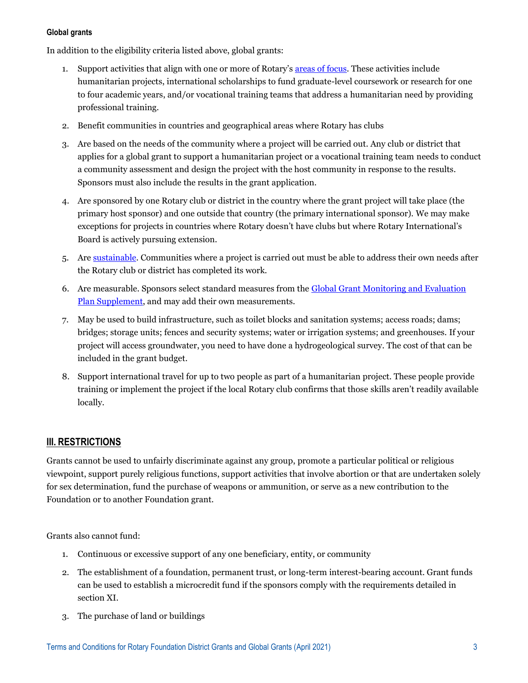#### **Global grants**

In addition to the eligibility criteria listed above, global grants:

- 1. Support activities that align with one or more of Rotary's [areas of focus.](https://my.rotary.org/en/document/areas-focus-policy-statements) These activities include humanitarian projects, international scholarships to fund graduate-level coursework or research for one to four academic years, and/or vocational training teams that address a humanitarian need by providing professional training.
- 2. Benefit communities in countries and geographical areas where Rotary has clubs
- 3. Are based on the needs of the community where a project will be carried out. Any club or district that applies for a global grant to support a humanitarian project or a vocational training team needs to conduct a community assessment and design the project with the host community in response to the results. Sponsors must also include the results in the grant application.
- 4. Are sponsored by one Rotary club or district in the country where the grant project will take place (the primary host sponsor) and one outside that country (the primary international sponsor). We may make exceptions for projects in countries where Rotary doesn't have clubs but where Rotary International's Board is actively pursuing extension.
- 5. Are [sustainable.](https://my.rotary.org/en/document/six-steps-sustainability) Communities where a project is carried out must be able to address their own needs after the Rotary club or district has completed its work.
- 6. Are measurable. Sponsors select standard measures from the [Global Grant Monitoring and Evaluation](https://my.rotary.org/en/document/global-grant-monitoring-and-evaluation-plan-supplement)  [Plan Supplement,](https://my.rotary.org/en/document/global-grant-monitoring-and-evaluation-plan-supplement) and may add their own measurements.
- 7. May be used to build infrastructure, such as toilet blocks and sanitation systems; access roads; dams; bridges; storage units; fences and security systems; water or irrigation systems; and greenhouses. If your project will access groundwater, you need to have done a hydrogeological survey. The cost of that can be included in the grant budget.
- 8. Support international travel for up to two people as part of a humanitarian project. These people provide training or implement the project if the local Rotary club confirms that those skills aren't readily available locally.

## **III. RESTRICTIONS**

Grants cannot be used to unfairly discriminate against any group, promote a particular political or religious viewpoint, support purely religious functions, support activities that involve abortion or that are undertaken solely for sex determination, fund the purchase of weapons or ammunition, or serve as a new contribution to the Foundation or to another Foundation grant.

Grants also cannot fund:

- 1. Continuous or excessive support of any one beneficiary, entity, or community
- 2. The establishment of a foundation, permanent trust, or long-term interest-bearing account. Grant funds can be used to establish a microcredit fund if the sponsors comply with the requirements detailed in section XI.
- 3. The purchase of land or buildings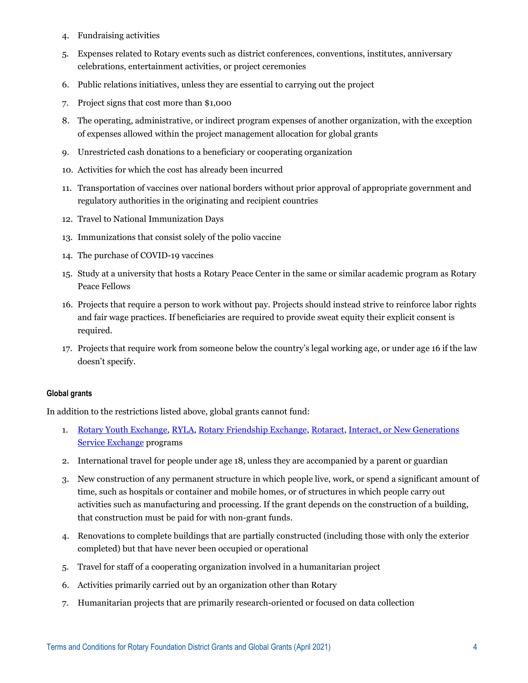- 4. Fundraising activities
- 5. Expenses related to Rotary events such as district conferences, conventions, institutes, anniversary celebrations, entertainment activities, or project ceremonies
- 6. Public relations initiatives, unless they are essential to carrying out the project
- 7. Project signs that cost more than \$1,000
- 8. The operating, administrative, or indirect program expenses of another organization, with the exception of expenses allowed within the project management allocation for global grants
- 9. Unrestricted cash donations to a beneficiary or cooperating organization
- 10. Activities for which the cost has already been incurred
- 11. Transportation of vaccines over national borders without prior approval of appropriate government and regulatory authorities in the originating and recipient countries
- 12. Travel to National Immunization Days
- 13. Immunizations that consist solely of the polio vaccine
- 14. The purchase of COVID-19 vaccines
- 15. Study at a university that hosts a Rotary Peace Center in the same or similar academic program as Rotary Peace Fellows
- 16. Projects that require a person to work without pay. Projects should instead strive to reinforce labor rights and fair wage practices. If beneficiaries are required to provide sweat equity their explicit consent is required.
- 17. Projects that require work from someone below the country's legal working age, or under age 16 if the law doesn't specify.

#### **Global grants**

In addition to the restrictions listed above, global grants cannot fund:

- 1. [Rotary Youth Exchange,](https://www.rotary.org/myrotary/en/take-action/empower-leaders/start-exchange) [RYLA,](https://www.rotary.org/myrotary/en/take-action/empower-leaders/organize-ryla-event) [Rotary Friendship Exchange,](https://www.rotary.org/myrotary/en/document/146976) [Rotaract,](https://www.rotary.org/myrotary/en/take-action/empower-leaders/sponsor-rotaract-club) [Interact,](https://www.rotary.org/myrotary/en/take-action/empower-leaders/sponsor-interact-club) o[r New Generations](https://www.rotary.org/en/our-programs/new-generations-service-exchange/details)  [Service Exchange](https://www.rotary.org/en/our-programs/new-generations-service-exchange/details) programs
- 2. International travel for people under age 18, unless they are accompanied by a parent or guardian
- 3. New construction of any permanent structure in which people live, work, or spend a significant amount of time, such as hospitals or container and mobile homes, or of structures in which people carry out activities such as manufacturing and processing. If the grant depends on the construction of a building, that construction must be paid for with non-grant funds.
- 4. Renovations to complete buildings that are partially constructed (including those with only the exterior completed) but that have never been occupied or operational
- 5. Travel for staff of a cooperating organization involved in a humanitarian project
- 6. Activities primarily carried out by an organization other than Rotary
- 7. Humanitarian projects that are primarily research-oriented or focused on data collection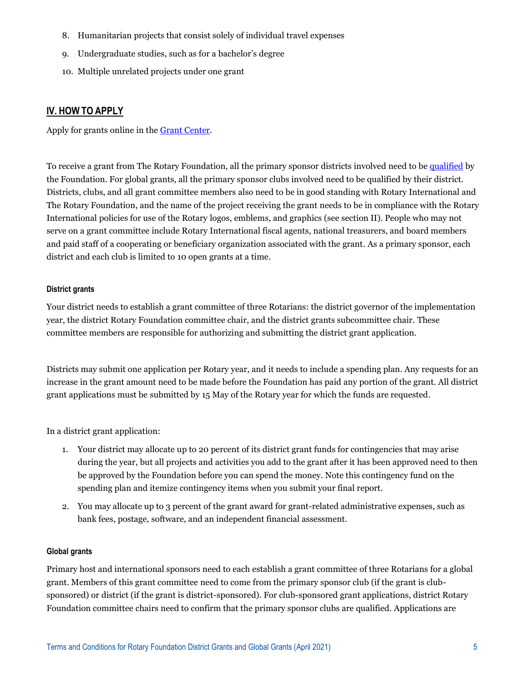- 8. Humanitarian projects that consist solely of individual travel expenses
- 9. Undergraduate studies, such as for a bachelor's degree
- 10. Multiple unrelated projects under one grant

## **IV. HOW TO APPLY**

Apply for grants online in the [Grant Center.](https://my.rotary.org/secure/application/236)

To receive a grant from The Rotary Foundation, all the primary sponsor districts involved need to b[e qualified](https://my.rotary.org/en/take-action/apply-grants/qualification) by the Foundation. For global grants, all the primary sponsor clubs involved need to be qualified by their district. Districts, clubs, and all grant committee members also need to be in good standing with Rotary International and The Rotary Foundation, and the name of the project receiving the grant needs to be in compliance with the Rotary International policies for use of the Rotary logos, emblems, and graphics (see section II). People who may not serve on a grant committee include Rotary International fiscal agents, national treasurers, and board members and paid staff of a cooperating or beneficiary organization associated with the grant. As a primary sponsor, each district and each club is limited to 10 open grants at a time.

### **District grants**

Your district needs to establish a grant committee of three Rotarians: the district governor of the implementation year, the district Rotary Foundation committee chair, and the district grants subcommittee chair. These committee members are responsible for authorizing and submitting the district grant application.

Districts may submit one application per Rotary year, and it needs to include a spending plan. Any requests for an increase in the grant amount need to be made before the Foundation has paid any portion of the grant. All district grant applications must be submitted by 15 May of the Rotary year for which the funds are requested.

In a district grant application:

- 1. Your district may allocate up to 20 percent of its district grant funds for contingencies that may arise during the year, but all projects and activities you add to the grant after it has been approved need to then be approved by the Foundation before you can spend the money. Note this contingency fund on the spending plan and itemize contingency items when you submit your final report.
- 2. You may allocate up to 3 percent of the grant award for grant-related administrative expenses, such as bank fees, postage, software, and an independent financial assessment.

#### **Global grants**

Primary host and international sponsors need to each establish a grant committee of three Rotarians for a global grant. Members of this grant committee need to come from the primary sponsor club (if the grant is clubsponsored) or district (if the grant is district-sponsored). For club-sponsored grant applications, district Rotary Foundation committee chairs need to confirm that the primary sponsor clubs are qualified. Applications are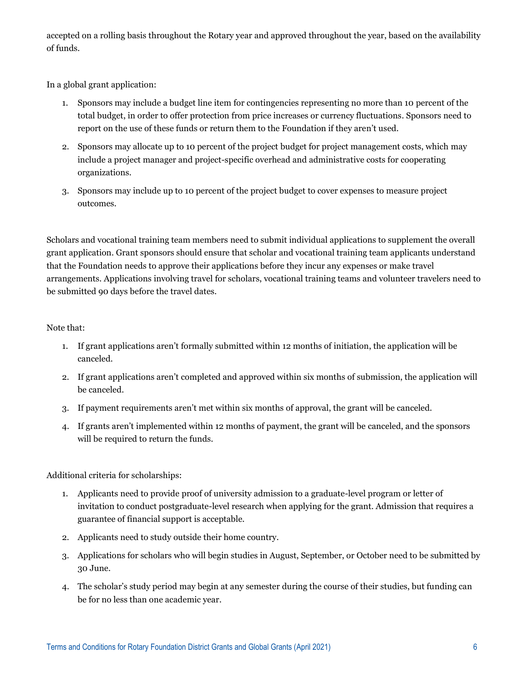accepted on a rolling basis throughout the Rotary year and approved throughout the year, based on the availability of funds.

In a global grant application:

- 1. Sponsors may include a budget line item for contingencies representing no more than 10 percent of the total budget, in order to offer protection from price increases or currency fluctuations. Sponsors need to report on the use of these funds or return them to the Foundation if they aren't used.
- 2. Sponsors may allocate up to 10 percent of the project budget for project management costs, which may include a project manager and project-specific overhead and administrative costs for cooperating organizations.
- 3. Sponsors may include up to 10 percent of the project budget to cover expenses to measure project outcomes.

Scholars and vocational training team members need to submit individual applications to supplement the overall grant application. Grant sponsors should ensure that scholar and vocational training team applicants understand that the Foundation needs to approve their applications before they incur any expenses or make travel arrangements. Applications involving travel for scholars, vocational training teams and volunteer travelers need to be submitted 90 days before the travel dates.

## Note that:

- 1. If grant applications aren't formally submitted within 12 months of initiation, the application will be canceled.
- 2. If grant applications aren't completed and approved within six months of submission, the application will be canceled.
- 3. If payment requirements aren't met within six months of approval, the grant will be canceled.
- 4. If grants aren't implemented within 12 months of payment, the grant will be canceled, and the sponsors will be required to return the funds.

## Additional criteria for scholarships:

- 1. Applicants need to provide proof of university admission to a graduate-level program or letter of invitation to conduct postgraduate-level research when applying for the grant. Admission that requires a guarantee of financial support is acceptable.
- 2. Applicants need to study outside their home country.
- 3. Applications for scholars who will begin studies in August, September, or October need to be submitted by 30 June.
- 4. The scholar's study period may begin at any semester during the course of their studies, but funding can be for no less than one academic year.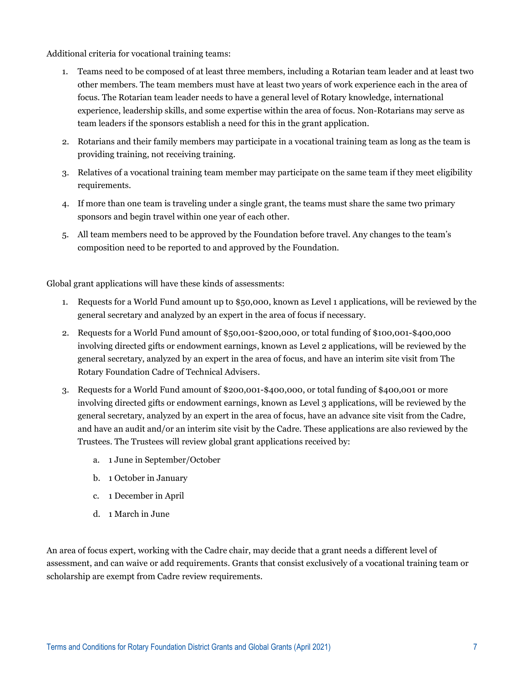Additional criteria for vocational training teams:

- 1. Teams need to be composed of at least three members, including a Rotarian team leader and at least two other members. The team members must have at least two years of work experience each in the area of focus. The Rotarian team leader needs to have a general level of Rotary knowledge, international experience, leadership skills, and some expertise within the area of focus. Non-Rotarians may serve as team leaders if the sponsors establish a need for this in the grant application.
- 2. Rotarians and their family members may participate in a vocational training team as long as the team is providing training, not receiving training.
- 3. Relatives of a vocational training team member may participate on the same team if they meet eligibility requirements.
- 4. If more than one team is traveling under a single grant, the teams must share the same two primary sponsors and begin travel within one year of each other.
- 5. All team members need to be approved by the Foundation before travel. Any changes to the team's composition need to be reported to and approved by the Foundation.

Global grant applications will have these kinds of assessments:

- 1. Requests for a World Fund amount up to \$50,000, known as Level 1 applications, will be reviewed by the general secretary and analyzed by an expert in the area of focus if necessary.
- 2. Requests for a World Fund amount of \$50,001-\$200,000, or total funding of \$100,001-\$400,000 involving directed gifts or endowment earnings, known as Level 2 applications, will be reviewed by the general secretary, analyzed by an expert in the area of focus, and have an interim site visit from The Rotary Foundation Cadre of Technical Advisers.
- 3. Requests for a World Fund amount of \$200,001-\$400,000, or total funding of \$400,001 or more involving directed gifts or endowment earnings, known as Level 3 applications, will be reviewed by the general secretary, analyzed by an expert in the area of focus, have an advance site visit from the Cadre, and have an audit and/or an interim site visit by the Cadre. These applications are also reviewed by the Trustees. The Trustees will review global grant applications received by:
	- a. 1 June in September/October
	- b. 1 October in January
	- c. 1 December in April
	- d. 1 March in June

An area of focus expert, working with the Cadre chair, may decide that a grant needs a different level of assessment, and can waive or add requirements. Grants that consist exclusively of a vocational training team or scholarship are exempt from Cadre review requirements.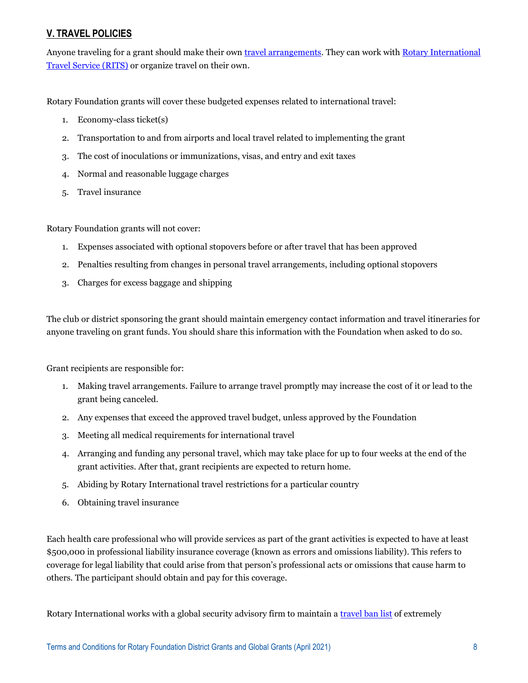# **V. TRAVEL POLICIES**

Anyone traveling for a grant should make their ow[n travel arrangements.](https://www.rotary.org/myrotary/en/take-action/apply-grants/grant-travel) They can work with Rotary International [Travel Service \(RITS\)](https://www.rotary.org/myrotary/en/manage/travel-expenses) or organize travel on their own.

Rotary Foundation grants will cover these budgeted expenses related to international travel:

- 1. Economy-class ticket(s)
- 2. Transportation to and from airports and local travel related to implementing the grant
- 3. The cost of inoculations or immunizations, visas, and entry and exit taxes
- 4. Normal and reasonable luggage charges
- 5. Travel insurance

Rotary Foundation grants will not cover:

- 1. Expenses associated with optional stopovers before or after travel that has been approved
- 2. Penalties resulting from changes in personal travel arrangements, including optional stopovers
- 3. Charges for excess baggage and shipping

The club or district sponsoring the grant should maintain emergency contact information and travel itineraries for anyone traveling on grant funds. You should share this information with the Foundation when asked to do so.

Grant recipients are responsible for:

- 1. Making travel arrangements. Failure to arrange travel promptly may increase the cost of it or lead to the grant being canceled.
- 2. Any expenses that exceed the approved travel budget, unless approved by the Foundation
- 3. Meeting all medical requirements for international travel
- 4. Arranging and funding any personal travel, which may take place for up to four weeks at the end of the grant activities. After that, grant recipients are expected to return home.
- 5. Abiding by Rotary International travel restrictions for a particular country
- 6. Obtaining travel insurance

Each health care professional who will provide services as part of the grant activities is expected to have at least \$500,000 in professional liability insurance coverage (known as errors and omissions liability). This refers to coverage for legal liability that could arise from that person's professional acts or omissions that cause harm to others. The participant should obtain and pay for this coverage.

Rotary International works with a global security advisory firm to maintain a [travel ban list](https://www.rotary.org/myrotary/en/document/751) of extremely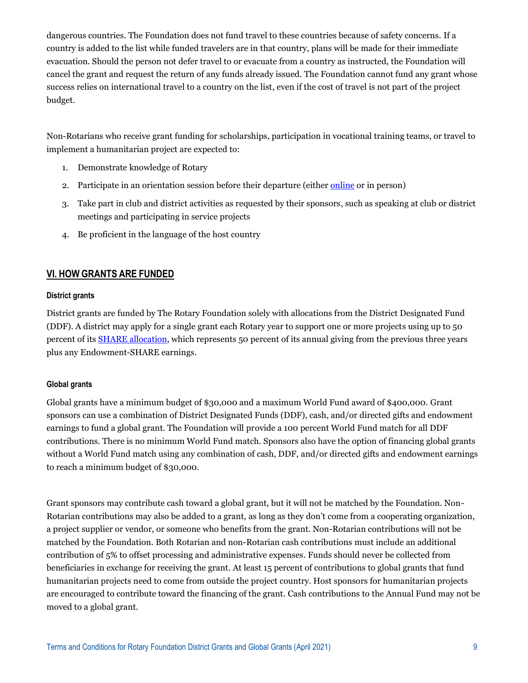dangerous countries. The Foundation does not fund travel to these countries because of safety concerns. If a country is added to the list while funded travelers are in that country, plans will be made for their immediate evacuation. Should the person not defer travel to or evacuate from a country as instructed, the Foundation will cancel the grant and request the return of any funds already issued. The Foundation cannot fund any grant whose success relies on international travel to a country on the list, even if the cost of travel is not part of the project budget.

Non-Rotarians who receive grant funding for scholarships, participation in vocational training teams, or travel to implement a humanitarian project are expected to:

- 1. Demonstrate knowledge of Rotary
- 2. Participate in an orientation session before their departure (either [online](https://www.rotary.org/myrotary/en/secure/13161) or in person)
- 3. Take part in club and district activities as requested by their sponsors, such as speaking at club or district meetings and participating in service projects
- 4. Be proficient in the language of the host country

## **VI. HOW GRANTS ARE FUNDED**

### **District grants**

District grants are funded by The Rotary Foundation solely with allocations from the District Designated Fund (DDF). A district may apply for a single grant each Rotary year to support one or more projects using up to 50 percent of its [SHARE allocation,](http://www.rotary.org/myrotary/en/annual-fund-and-share) which represents 50 percent of its annual giving from the previous three years plus any Endowment-SHARE earnings.

### **Global grants**

Global grants have a minimum budget of \$30,000 and a maximum World Fund award of \$400,000. Grant sponsors can use a combination of District Designated Funds (DDF), cash, and/or directed gifts and endowment earnings to fund a global grant. The Foundation will provide a 100 percent World Fund match for all DDF contributions. There is no minimum World Fund match. Sponsors also have the option of financing global grants without a World Fund match using any combination of cash, DDF, and/or directed gifts and endowment earnings to reach a minimum budget of \$30,000.

Grant sponsors may contribute cash toward a global grant, but it will not be matched by the Foundation. Non-Rotarian contributions may also be added to a grant, as long as they don't come from a cooperating organization, a project supplier or vendor, or someone who benefits from the grant. Non-Rotarian contributions will not be matched by the Foundation. Both Rotarian and non-Rotarian cash contributions must include an additional contribution of 5% to offset processing and administrative expenses. Funds should never be collected from beneficiaries in exchange for receiving the grant. At least 15 percent of contributions to global grants that fund humanitarian projects need to come from outside the project country. Host sponsors for humanitarian projects are encouraged to contribute toward the financing of the grant. Cash contributions to the Annual Fund may not be moved to a global grant.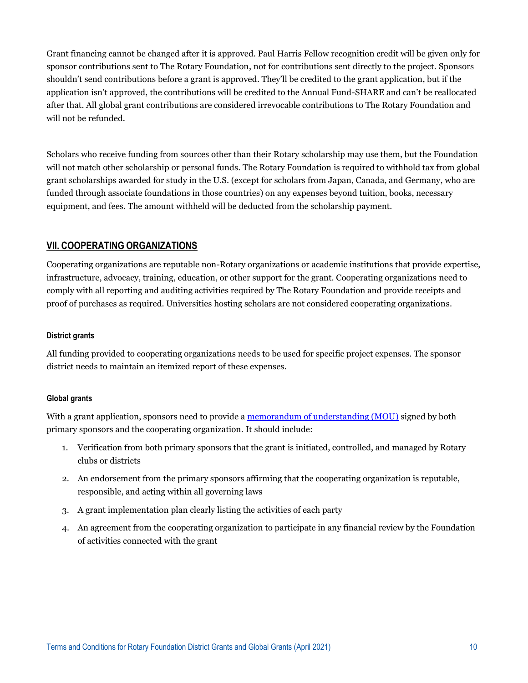Grant financing cannot be changed after it is approved. Paul Harris Fellow recognition credit will be given only for sponsor contributions sent to The Rotary Foundation, not for contributions sent directly to the project. Sponsors shouldn't send contributions before a grant is approved. They'll be credited to the grant application, but if the application isn't approved, the contributions will be credited to the Annual Fund-SHARE and can't be reallocated after that. All global grant contributions are considered irrevocable contributions to The Rotary Foundation and will not be refunded.

Scholars who receive funding from sources other than their Rotary scholarship may use them, but the Foundation will not match other scholarship or personal funds. The Rotary Foundation is required to withhold tax from global grant scholarships awarded for study in the U.S. (except for scholars from Japan, Canada, and Germany, who are funded through associate foundations in those countries) on any expenses beyond tuition, books, necessary equipment, and fees. The amount withheld will be deducted from the scholarship payment.

## **VII. COOPERATING ORGANIZATIONS**

Cooperating organizations are reputable non-Rotary organizations or academic institutions that provide expertise, infrastructure, advocacy, training, education, or other support for the grant. Cooperating organizations need to comply with all reporting and auditing activities required by The Rotary Foundation and provide receipts and proof of purchases as required. Universities hosting scholars are not considered cooperating organizations.

### **District grants**

All funding provided to cooperating organizations needs to be used for specific project expenses. The sponsor district needs to maintain an itemized report of these expenses.

### **Global grants**

With a grant application, sponsors need to provide a [memorandum of understanding \(MOU\)](https://my.rotary.org/en/document/cooperating-organization-memorandum-understanding) signed by both primary sponsors and the cooperating organization. It should include:

- 1. Verification from both primary sponsors that the grant is initiated, controlled, and managed by Rotary clubs or districts
- 2. An endorsement from the primary sponsors affirming that the cooperating organization is reputable, responsible, and acting within all governing laws
- 3. A grant implementation plan clearly listing the activities of each party
- 4. An agreement from the cooperating organization to participate in any financial review by the Foundation of activities connected with the grant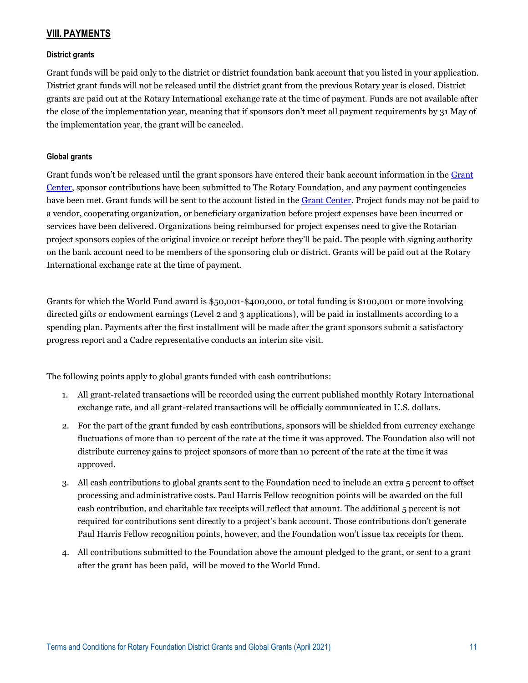## **VIII. PAYMENTS**

### **District grants**

Grant funds will be paid only to the district or district foundation bank account that you listed in your application. District grant funds will not be released until the district grant from the previous Rotary year is closed. District grants are paid out at the Rotary International exchange rate at the time of payment. Funds are not available after the close of the implementation year, meaning that if sponsors don't meet all payment requirements by 31 May of the implementation year, the grant will be canceled.

### **Global grants**

Grant funds won't be released until the grant sponsors have entered their bank account information in the Grant [Center,](https://my.rotary.org/secure/application/236) sponsor contributions have been submitted to The Rotary Foundation, and any payment contingencies have been met. Grant funds will be sent to the account listed in the [Grant Center.](https://my.rotary.org/secure/application/236) Project funds may not be paid to a vendor, cooperating organization, or beneficiary organization before project expenses have been incurred or services have been delivered. Organizations being reimbursed for project expenses need to give the Rotarian project sponsors copies of the original invoice or receipt before they'll be paid. The people with signing authority on the bank account need to be members of the sponsoring club or district. Grants will be paid out at the Rotary International exchange rate at the time of payment.

Grants for which the World Fund award is \$50,001-\$400,000, or total funding is \$100,001 or more involving directed gifts or endowment earnings (Level 2 and 3 applications), will be paid in installments according to a spending plan. Payments after the first installment will be made after the grant sponsors submit a satisfactory progress report and a Cadre representative conducts an interim site visit.

The following points apply to global grants funded with cash contributions:

- 1. All grant-related transactions will be recorded using the current published monthly Rotary International exchange rate, and all grant-related transactions will be officially communicated in U.S. dollars.
- 2. For the part of the grant funded by cash contributions, sponsors will be shielded from currency exchange fluctuations of more than 10 percent of the rate at the time it was approved. The Foundation also will not distribute currency gains to project sponsors of more than 10 percent of the rate at the time it was approved.
- 3. All cash contributions to global grants sent to the Foundation need to include an extra 5 percent to offset processing and administrative costs. Paul Harris Fellow recognition points will be awarded on the full cash contribution, and charitable tax receipts will reflect that amount. The additional 5 percent is not required for contributions sent directly to a project's bank account. Those contributions don't generate Paul Harris Fellow recognition points, however, and the Foundation won't issue tax receipts for them.
- 4. All contributions submitted to the Foundation above the amount pledged to the grant, or sent to a grant after the grant has been paid, will be moved to the World Fund.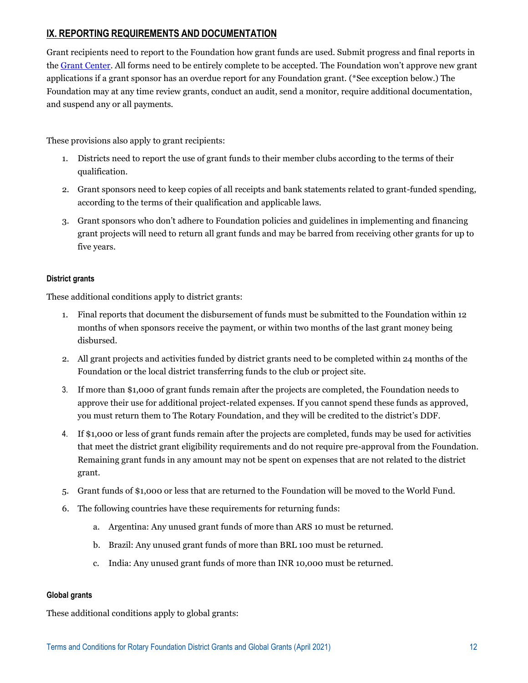# **IX. REPORTING REQUIREMENTS AND DOCUMENTATION**

Grant recipients need to report to the Foundation how grant funds are used. Submit progress and final reports in th[e Grant Center.](https://my.rotary.org/secure/application/236) All forms need to be entirely complete to be accepted. The Foundation won't approve new grant applications if a grant sponsor has an overdue report for any Foundation grant. (\*See exception below.) The Foundation may at any time review grants, conduct an audit, send a monitor, require additional documentation, and suspend any or all payments.

These provisions also apply to grant recipients:

- 1. Districts need to report the use of grant funds to their member clubs according to the terms of their qualification.
- 2. Grant sponsors need to keep copies of all receipts and bank statements related to grant-funded spending, according to the terms of their qualification and applicable laws.
- 3. Grant sponsors who don't adhere to Foundation policies and guidelines in implementing and financing grant projects will need to return all grant funds and may be barred from receiving other grants for up to five years.

## **District grants**

These additional conditions apply to district grants:

- 1. Final reports that document the disbursement of funds must be submitted to the Foundation within 12 months of when sponsors receive the payment, or within two months of the last grant money being disbursed.
- 2. All grant projects and activities funded by district grants need to be completed within 24 months of the Foundation or the local district transferring funds to the club or project site.
- 3. If more than \$1,000 of grant funds remain after the projects are completed, the Foundation needs to approve their use for additional project-related expenses. If you cannot spend these funds as approved, you must return them to The Rotary Foundation, and they will be credited to the district's DDF.
- 4. If \$1,000 or less of grant funds remain after the projects are completed, funds may be used for activities that meet the district grant eligibility requirements and do not require pre-approval from the Foundation. Remaining grant funds in any amount may not be spent on expenses that are not related to the district grant.
- 5. Grant funds of \$1,000 or less that are returned to the Foundation will be moved to the World Fund.
- 6. The following countries have these requirements for returning funds:
	- a. Argentina: Any unused grant funds of more than ARS 10 must be returned.
	- b. Brazil: Any unused grant funds of more than BRL 100 must be returned.
	- c. India: Any unused grant funds of more than INR 10,000 must be returned.

### **Global grants**

These additional conditions apply to global grants: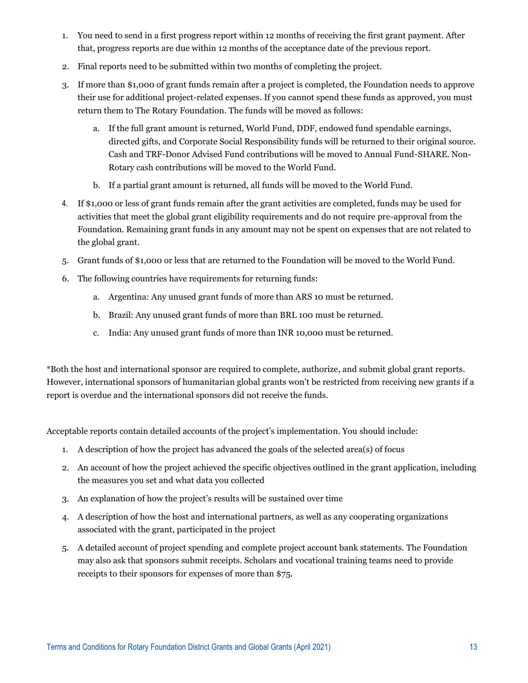- 1. You need to send in a first progress report within 12 months of receiving the first grant payment. After that, progress reports are due within 12 months of the acceptance date of the previous report.
- 2. Final reports need to be submitted within two months of completing the project.
- 3. If more than \$1,000 of grant funds remain after a project is completed, the Foundation needs to approve their use for additional project-related expenses. If you cannot spend these funds as approved, you must return them to The Rotary Foundation. The funds will be moved as follows:
	- a. If the full grant amount is returned, World Fund, DDF, endowed fund spendable earnings, directed gifts, and Corporate Social Responsibility funds will be returned to their original source. Cash and TRF-Donor Advised Fund contributions will be moved to Annual Fund-SHARE. Non-Rotary cash contributions will be moved to the World Fund.
	- b. If a partial grant amount is returned, all funds will be moved to the World Fund.
- 4. If \$1,000 or less of grant funds remain after the grant activities are completed, funds may be used for activities that meet the global grant eligibility requirements and do not require pre-approval from the Foundation. Remaining grant funds in any amount may not be spent on expenses that are not related to the global grant.
- 5. Grant funds of \$1,000 or less that are returned to the Foundation will be moved to the World Fund.
- 6. The following countries have requirements for returning funds:
	- a. Argentina: Any unused grant funds of more than ARS 10 must be returned.
	- b. Brazil: Any unused grant funds of more than BRL 100 must be returned.
	- c. India: Any unused grant funds of more than INR 10,000 must be returned.

\*Both the host and international sponsor are required to complete, authorize, and submit global grant reports. However, international sponsors of humanitarian global grants won't be restricted from receiving new grants if a report is overdue and the international sponsors did not receive the funds.

Acceptable reports contain detailed accounts of the project's implementation. You should include:

- 1. A description of how the project has advanced the goals of the selected area(s) of focus
- 2. An account of how the project achieved the specific objectives outlined in the grant application, including the measures you set and what data you collected
- 3. An explanation of how the project's results will be sustained over time
- 4. A description of how the host and international partners, as well as any cooperating organizations associated with the grant, participated in the project
- 5. A detailed account of project spending and complete project account bank statements. The Foundation may also ask that sponsors submit receipts. Scholars and vocational training teams need to provide receipts to their sponsors for expenses of more than \$75.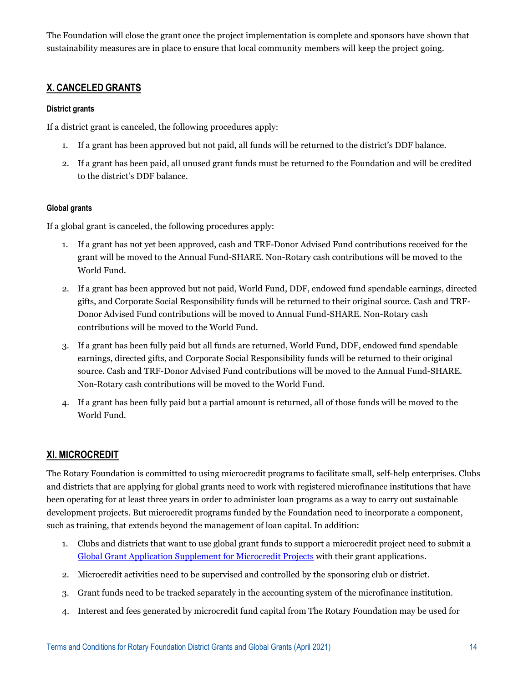The Foundation will close the grant once the project implementation is complete and sponsors have shown that sustainability measures are in place to ensure that local community members will keep the project going.

# **X. CANCELED GRANTS**

## **District grants**

If a district grant is canceled, the following procedures apply:

- 1. If a grant has been approved but not paid, all funds will be returned to the district's DDF balance.
- 2. If a grant has been paid, all unused grant funds must be returned to the Foundation and will be credited to the district's DDF balance.

## **Global grants**

If a global grant is canceled, the following procedures apply:

- 1. If a grant has not yet been approved, cash and TRF-Donor Advised Fund contributions received for the grant will be moved to the Annual Fund-SHARE. Non-Rotary cash contributions will be moved to the World Fund.
- 2. If a grant has been approved but not paid, World Fund, DDF, endowed fund spendable earnings, directed gifts, and Corporate Social Responsibility funds will be returned to their original source. Cash and TRF-Donor Advised Fund contributions will be moved to Annual Fund-SHARE. Non-Rotary cash contributions will be moved to the World Fund.
- 3. If a grant has been fully paid but all funds are returned, World Fund, DDF, endowed fund spendable earnings, directed gifts, and Corporate Social Responsibility funds will be returned to their original source. Cash and TRF-Donor Advised Fund contributions will be moved to the Annual Fund-SHARE. Non-Rotary cash contributions will be moved to the World Fund.
- 4. If a grant has been fully paid but a partial amount is returned, all of those funds will be moved to the World Fund.

## **XI. MICROCREDIT**

The Rotary Foundation is committed to using microcredit programs to facilitate small, self-help enterprises. Clubs and districts that are applying for global grants need to work with registered microfinance institutions that have been operating for at least three years in order to administer loan programs as a way to carry out sustainable development projects. But microcredit programs funded by the Foundation need to incorporate a component, such as training, that extends beyond the management of loan capital. In addition:

- 1. Clubs and districts that want to use global grant funds to support a microcredit project need to submit a [Global Grant Application Supplement for Microcredit Projects](https://my.rotary.org/en/document/application-supplement-microcredit-projects) with their grant applications.
- 2. Microcredit activities need to be supervised and controlled by the sponsoring club or district.
- 3. Grant funds need to be tracked separately in the accounting system of the microfinance institution.
- 4. Interest and fees generated by microcredit fund capital from The Rotary Foundation may be used for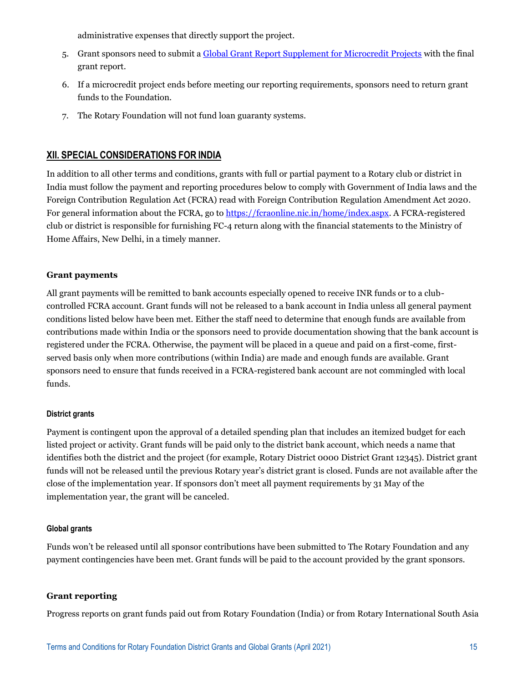administrative expenses that directly support the project.

- 5. Grant sponsors need to submit a [Global Grant Report Supplement for Microcredit Projects](https://my.rotary.org/en/document/report-supplement-microcredit-projects) with the final grant report.
- 6. If a microcredit project ends before meeting our reporting requirements, sponsors need to return grant funds to the Foundation.
- 7. The Rotary Foundation will not fund loan guaranty systems.

## **XII. SPECIAL CONSIDERATIONS FOR INDIA**

In addition to all other terms and conditions, grants with full or partial payment to a Rotary club or district in India must follow the payment and reporting procedures below to comply with Government of India laws and the Foreign Contribution Regulation Act (FCRA) read with Foreign Contribution Regulation Amendment Act 2020. For general information about the FCRA, go to [https://fcraonline.nic.in/home/index.aspx.](https://fcraonline.nic.in/home/index.aspx) A FCRA-registered club or district is responsible for furnishing FC-4 return along with the financial statements to the Ministry of Home Affairs, New Delhi, in a timely manner.

## **Grant payments**

All grant payments will be remitted to bank accounts especially opened to receive INR funds or to a clubcontrolled FCRA account. Grant funds will not be released to a bank account in India unless all general payment conditions listed below have been met. Either the staff need to determine that enough funds are available from contributions made within India or the sponsors need to provide documentation showing that the bank account is registered under the FCRA. Otherwise, the payment will be placed in a queue and paid on a first-come, firstserved basis only when more contributions (within India) are made and enough funds are available. Grant sponsors need to ensure that funds received in a FCRA-registered bank account are not commingled with local funds.

### **District grants**

Payment is contingent upon the approval of a detailed spending plan that includes an itemized budget for each listed project or activity. Grant funds will be paid only to the district bank account, which needs a name that identifies both the district and the project (for example, Rotary District 0000 District Grant 12345). District grant funds will not be released until the previous Rotary year's district grant is closed. Funds are not available after the close of the implementation year. If sponsors don't meet all payment requirements by 31 May of the implementation year, the grant will be canceled.

### **Global grants**

Funds won't be released until all sponsor contributions have been submitted to The Rotary Foundation and any payment contingencies have been met. Grant funds will be paid to the account provided by the grant sponsors.

### **Grant reporting**

Progress reports on grant funds paid out from Rotary Foundation (India) or from Rotary International South Asia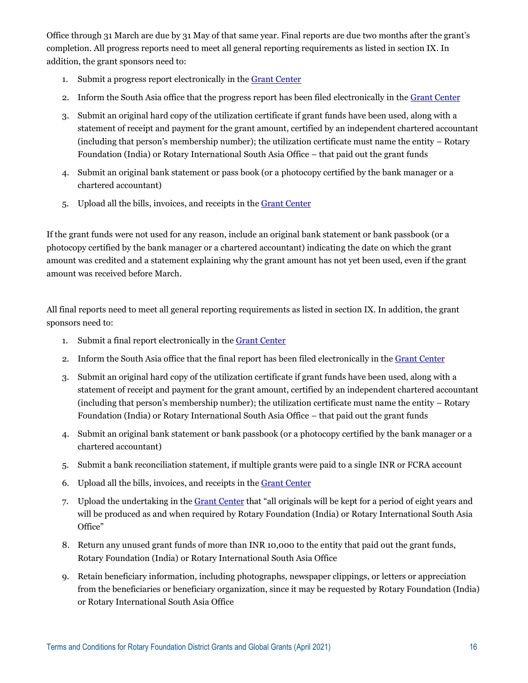Office through 31 March are due by 31 May of that same year. Final reports are due two months after the grant's completion. All progress reports need to meet all general reporting requirements as listed in section IX. In addition, the grant sponsors need to:

- 1. Submit a progress report electronically in th[e Grant Center](https://my.rotary.org/secure/application/236)
- 2. Inform the South Asia office that the progress report has been filed electronically in the [Grant Center](https://my.rotary.org/secure/application/236)
- 3. Submit an original hard copy of the utilization certificate if grant funds have been used, along with a statement of receipt and payment for the grant amount, certified by an independent chartered accountant (including that person's membership number); the utilization certificate must name the entity – Rotary Foundation (India) or Rotary International South Asia Office – that paid out the grant funds
- 4. Submit an original bank statement or pass book (or a photocopy certified by the bank manager or a chartered accountant)
- 5. Upload all the bills, invoices, and receipts in the [Grant Center](https://my.rotary.org/secure/application/236)

If the grant funds were not used for any reason, include an original bank statement or bank passbook (or a photocopy certified by the bank manager or a chartered accountant) indicating the date on which the grant amount was credited and a statement explaining why the grant amount has not yet been used, even if the grant amount was received before March.

All final reports need to meet all general reporting requirements as listed in section IX. In addition, the grant sponsors need to:

- 1. Submit a final report electronically in th[e Grant Center](https://my.rotary.org/secure/application/236)
- 2. Inform the South Asia office that the final report has been filed electronically in the [Grant Center](https://my.rotary.org/secure/application/236)
- 3. Submit an original hard copy of the utilization certificate if grant funds have been used, along with a statement of receipt and payment for the grant amount, certified by an independent chartered accountant (including that person's membership number); the utilization certificate must name the entity – Rotary Foundation (India) or Rotary International South Asia Office – that paid out the grant funds
- 4. Submit an original bank statement or bank passbook (or a photocopy certified by the bank manager or a chartered accountant)
- 5. Submit a bank reconciliation statement, if multiple grants were paid to a single INR or FCRA account
- 6. Upload all the bills, invoices, and receipts in the [Grant Center](https://my.rotary.org/secure/application/236)
- 7. Upload the undertaking in th[e Grant Center](https://my.rotary.org/secure/application/236) that "all originals will be kept for a period of eight years and will be produced as and when required by Rotary Foundation (India) or Rotary International South Asia Office"
- 8. Return any unused grant funds of more than INR 10,000 to the entity that paid out the grant funds, Rotary Foundation (India) or Rotary International South Asia Office
- 9. Retain beneficiary information, including photographs, newspaper clippings, or letters or appreciation from the beneficiaries or beneficiary organization, since it may be requested by Rotary Foundation (India) or Rotary International South Asia Office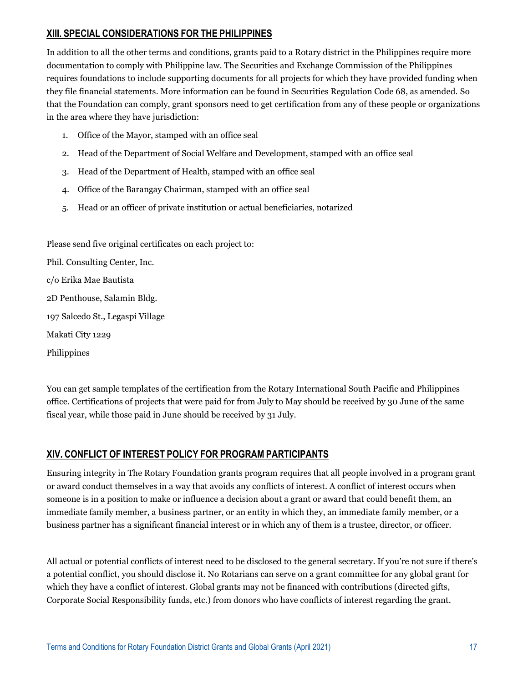# **XIII. SPECIAL CONSIDERATIONS FOR THE PHILIPPINES**

In addition to all the other terms and conditions, grants paid to a Rotary district in the Philippines require more documentation to comply with Philippine law. The Securities and Exchange Commission of the Philippines requires foundations to include supporting documents for all projects for which they have provided funding when they file financial statements. More information can be found in Securities Regulation Code 68, as amended. So that the Foundation can comply, grant sponsors need to get certification from any of these people or organizations in the area where they have jurisdiction:

- 1. Office of the Mayor, stamped with an office seal
- 2. Head of the Department of Social Welfare and Development, stamped with an office seal
- 3. Head of the Department of Health, stamped with an office seal
- 4. Office of the Barangay Chairman, stamped with an office seal
- 5. Head or an officer of private institution or actual beneficiaries, notarized

Please send five original certificates on each project to:

Phil. Consulting Center, Inc. c/o Erika Mae Bautista 2D Penthouse, Salamin Bldg. 197 Salcedo St., Legaspi Village

Makati City 1229

Philippines

You can get sample templates of the certification from the Rotary International South Pacific and Philippines office. Certifications of projects that were paid for from July to May should be received by 30 June of the same fiscal year, while those paid in June should be received by 31 July.

## **XIV. CONFLICT OF INTEREST POLICY FOR PROGRAM PARTICIPANTS**

Ensuring integrity in The Rotary Foundation grants program requires that all people involved in a program grant or award conduct themselves in a way that avoids any conflicts of interest. A conflict of interest occurs when someone is in a position to make or influence a decision about a grant or award that could benefit them, an immediate family member, a business partner, or an entity in which they, an immediate family member, or a business partner has a significant financial interest or in which any of them is a trustee, director, or officer.

All actual or potential conflicts of interest need to be disclosed to the general secretary. If you're not sure if there's a potential conflict, you should disclose it. No Rotarians can serve on a grant committee for any global grant for which they have a conflict of interest. Global grants may not be financed with contributions (directed gifts, Corporate Social Responsibility funds, etc.) from donors who have conflicts of interest regarding the grant.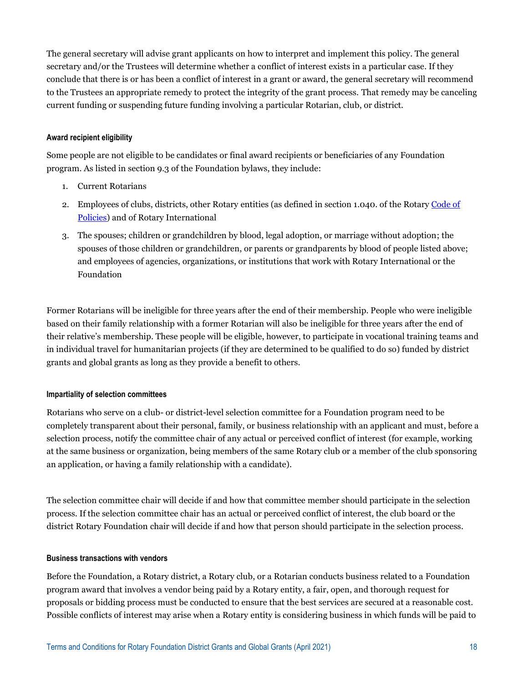The general secretary will advise grant applicants on how to interpret and implement this policy. The general secretary and/or the Trustees will determine whether a conflict of interest exists in a particular case. If they conclude that there is or has been a conflict of interest in a grant or award, the general secretary will recommend to the Trustees an appropriate remedy to protect the integrity of the grant process. That remedy may be canceling current funding or suspending future funding involving a particular Rotarian, club, or district.

### **Award recipient eligibility**

Some people are not eligible to be candidates or final award recipients or beneficiaries of any Foundation program. As listed in section 9.3 of the Foundation bylaws, they include:

- 1. Current Rotarians
- 2. Employees of clubs, districts, other Rotary entities (as defined in section 1.040. of the Rotary [Code of](https://www.rotary.org/myrotary/en/document/rotary-code-policies)  [Policies\)](https://www.rotary.org/myrotary/en/document/rotary-code-policies) and of Rotary International
- 3. The spouses; children or grandchildren by blood, legal adoption, or marriage without adoption; the spouses of those children or grandchildren, or parents or grandparents by blood of people listed above; and employees of agencies, organizations, or institutions that work with Rotary International or the Foundation

Former Rotarians will be ineligible for three years after the end of their membership. People who were ineligible based on their family relationship with a former Rotarian will also be ineligible for three years after the end of their relative's membership. These people will be eligible, however, to participate in vocational training teams and in individual travel for humanitarian projects (if they are determined to be qualified to do so) funded by district grants and global grants as long as they provide a benefit to others.

#### **Impartiality of selection committees**

Rotarians who serve on a club- or district-level selection committee for a Foundation program need to be completely transparent about their personal, family, or business relationship with an applicant and must, before a selection process, notify the committee chair of any actual or perceived conflict of interest (for example, working at the same business or organization, being members of the same Rotary club or a member of the club sponsoring an application, or having a family relationship with a candidate).

The selection committee chair will decide if and how that committee member should participate in the selection process. If the selection committee chair has an actual or perceived conflict of interest, the club board or the district Rotary Foundation chair will decide if and how that person should participate in the selection process.

#### **Business transactions with vendors**

Before the Foundation, a Rotary district, a Rotary club, or a Rotarian conducts business related to a Foundation program award that involves a vendor being paid by a Rotary entity, a fair, open, and thorough request for proposals or bidding process must be conducted to ensure that the best services are secured at a reasonable cost. Possible conflicts of interest may arise when a Rotary entity is considering business in which funds will be paid to